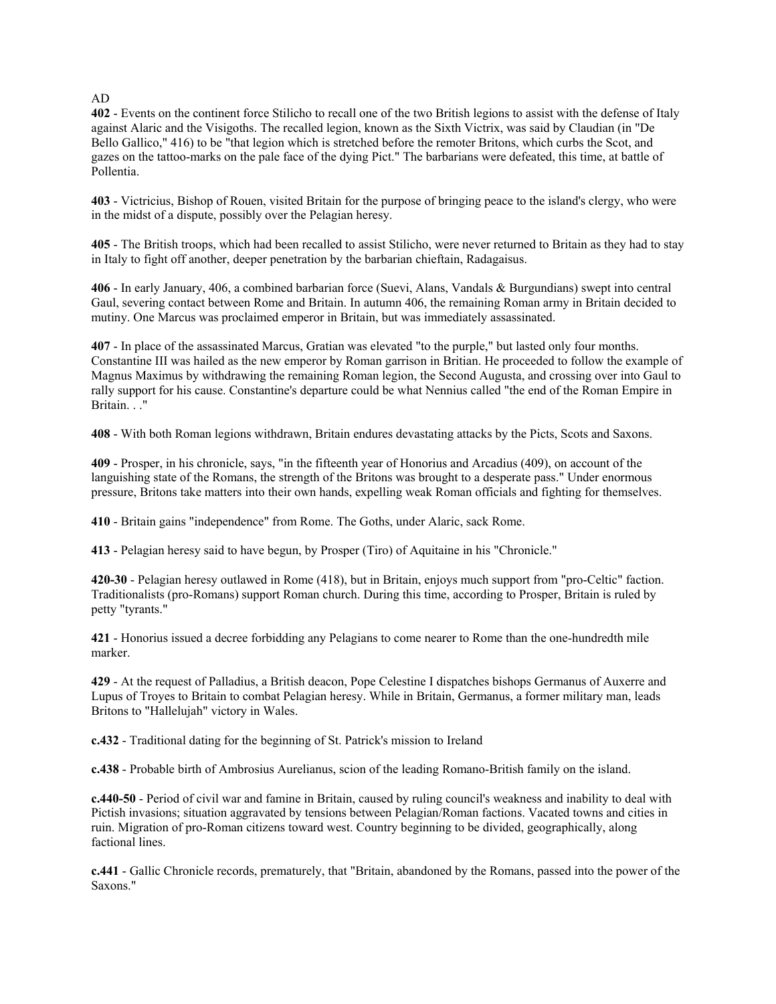AD

**402** - Events on the continent force Stilicho to recall one of the two British legions to assist with the defense of Italy against Alaric and the Visigoths. The recalled legion, known as the Sixth Victrix, was said by Claudian (in "De Bello Gallico," 416) to be "that legion which is stretched before the remoter Britons, which curbs the Scot, and gazes on the tattoo-marks on the pale face of the dying Pict." The barbarians were defeated, this time, at battle of Pollentia.

**403** - Victricius, Bishop of Rouen, visited Britain for the purpose of bringing peace to the island's clergy, who were in the midst of a dispute, possibly over the Pelagian heresy.

**405** - The British troops, which had been recalled to assist Stilicho, were never returned to Britain as they had to stay in Italy to fight off another, deeper penetration by the barbarian chieftain, Radagaisus.

**406** - In early January, 406, a combined barbarian force (Suevi, Alans, Vandals & Burgundians) swept into central Gaul, severing contact between Rome and Britain. In autumn 406, the remaining Roman army in Britain decided to mutiny. One Marcus was proclaimed emperor in Britain, but was immediately assassinated.

**407** - In place of the assassinated Marcus, Gratian was elevated "to the purple," but lasted only four months. Constantine III was hailed as the new emperor by Roman garrison in Britian. He proceeded to follow the example of Magnus Maximus by withdrawing the remaining Roman legion, the Second Augusta, and crossing over into Gaul to rally support for his cause. Constantine's departure could be what Nennius called "the end of the Roman Empire in Britain. . ."

**408** - With both Roman legions withdrawn, Britain endures devastating attacks by the Picts, Scots and Saxons.

**409** - Prosper, in his chronicle, says, "in the fifteenth year of Honorius and Arcadius (409), on account of the languishing state of the Romans, the strength of the Britons was brought to a desperate pass." Under enormous pressure, Britons take matters into their own hands, expelling weak Roman officials and fighting for themselves.

**410** - Britain gains "independence" from Rome. The Goths, under Alaric, sack Rome.

**413** - Pelagian heresy said to have begun, by Prosper (Tiro) of Aquitaine in his "Chronicle."

**420-30** - Pelagian heresy outlawed in Rome (418), but in Britain, enjoys much support from "pro-Celtic" faction. Traditionalists (pro-Romans) support Roman church. During this time, according to Prosper, Britain is ruled by petty "tyrants."

**421** - Honorius issued a decree forbidding any Pelagians to come nearer to Rome than the one-hundredth mile marker.

**429** - At the request of Palladius, a British deacon, Pope Celestine I dispatches bishops Germanus of Auxerre and Lupus of Troyes to Britain to combat Pelagian heresy. While in Britain, Germanus, a former military man, leads Britons to "Hallelujah" victory in Wales.

**c.432** - Traditional dating for the beginning of St. Patrick's mission to Ireland

**c.438** - Probable birth of Ambrosius Aurelianus, scion of the leading Romano-British family on the island.

**c.440-50** - Period of civil war and famine in Britain, caused by ruling council's weakness and inability to deal with Pictish invasions; situation aggravated by tensions between Pelagian/Roman factions. Vacated towns and cities in ruin. Migration of pro-Roman citizens toward west. Country beginning to be divided, geographically, along factional lines.

**c.441** - Gallic Chronicle records, prematurely, that "Britain, abandoned by the Romans, passed into the power of the Saxons."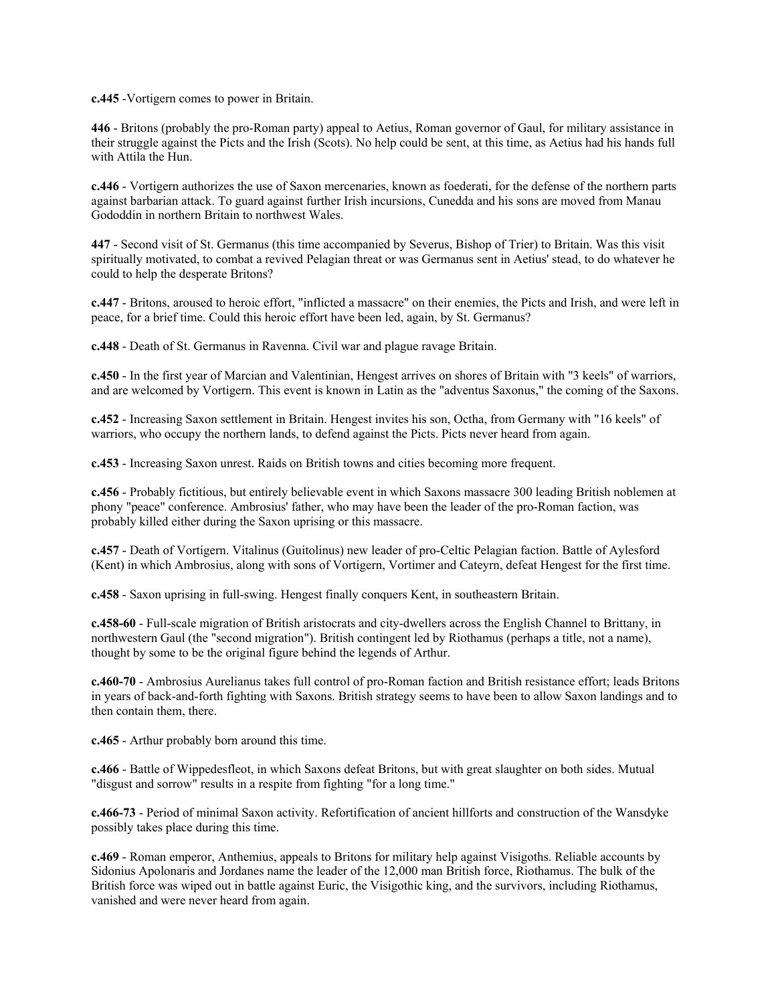**c.445** -Vortigern comes to power in Britain.

**446** - Britons (probably the pro-Roman party) appeal to Aetius, Roman governor of Gaul, for military assistance in their struggle against the Picts and the Irish (Scots). No help could be sent, at this time, as Aetius had his hands full with Attila the Hun.

**c.446** - Vortigern authorizes the use of Saxon mercenaries, known as foederati, for the defense of the northern parts against barbarian attack. To guard against further Irish incursions, Cunedda and his sons are moved from Manau Gododdin in northern Britain to northwest Wales.

**447** - Second visit of St. Germanus (this time accompanied by Severus, Bishop of Trier) to Britain. Was this visit spiritually motivated, to combat a revived Pelagian threat or was Germanus sent in Aetius' stead, to do whatever he could to help the desperate Britons?

**c.447** - Britons, aroused to heroic effort, "inflicted a massacre" on their enemies, the Picts and Irish, and were left in peace, for a brief time. Could this heroic effort have been led, again, by St. Germanus?

**c.448** - Death of St. Germanus in Ravenna. Civil war and plague ravage Britain.

**c.450** - In the first year of Marcian and Valentinian, Hengest arrives on shores of Britain with "3 keels" of warriors, and are welcomed by Vortigern. This event is known in Latin as the "adventus Saxonus," the coming of the Saxons.

**c.452** - Increasing Saxon settlement in Britain. Hengest invites his son, Octha, from Germany with "16 keels" of warriors, who occupy the northern lands, to defend against the Picts. Picts never heard from again.

**c.453** - Increasing Saxon unrest. Raids on British towns and cities becoming more frequent.

**c.456** - Probably fictitious, but entirely believable event in which Saxons massacre 300 leading British noblemen at phony "peace" conference. Ambrosius' father, who may have been the leader of the pro-Roman faction, was probably killed either during the Saxon uprising or this massacre.

**c.457** - Death of Vortigern. Vitalinus (Guitolinus) new leader of pro-Celtic Pelagian faction. Battle of Aylesford (Kent) in which Ambrosius, along with sons of Vortigern, Vortimer and Cateyrn, defeat Hengest for the first time.

**c.458** - Saxon uprising in full-swing. Hengest finally conquers Kent, in southeastern Britain.

**c.458-60** - Full-scale migration of British aristocrats and city-dwellers across the English Channel to Brittany, in northwestern Gaul (the "second migration"). British contingent led by Riothamus (perhaps a title, not a name), thought by some to be the original figure behind the legends of Arthur.

**c.460-70** - Ambrosius Aurelianus takes full control of pro-Roman faction and British resistance effort; leads Britons in years of back-and-forth fighting with Saxons. British strategy seems to have been to allow Saxon landings and to then contain them, there.

**c.465** - Arthur probably born around this time.

**c.466** - Battle of Wippedesfleot, in which Saxons defeat Britons, but with great slaughter on both sides. Mutual "disgust and sorrow" results in a respite from fighting "for a long time."

**c.466-73** - Period of minimal Saxon activity. Refortification of ancient hillforts and construction of the Wansdyke possibly takes place during this time.

**c.469** - Roman emperor, Anthemius, appeals to Britons for military help against Visigoths. Reliable accounts by Sidonius Apolonaris and Jordanes name the leader of the 12,000 man British force, Riothamus. The bulk of the British force was wiped out in battle against Euric, the Visigothic king, and the survivors, including Riothamus, vanished and were never heard from again.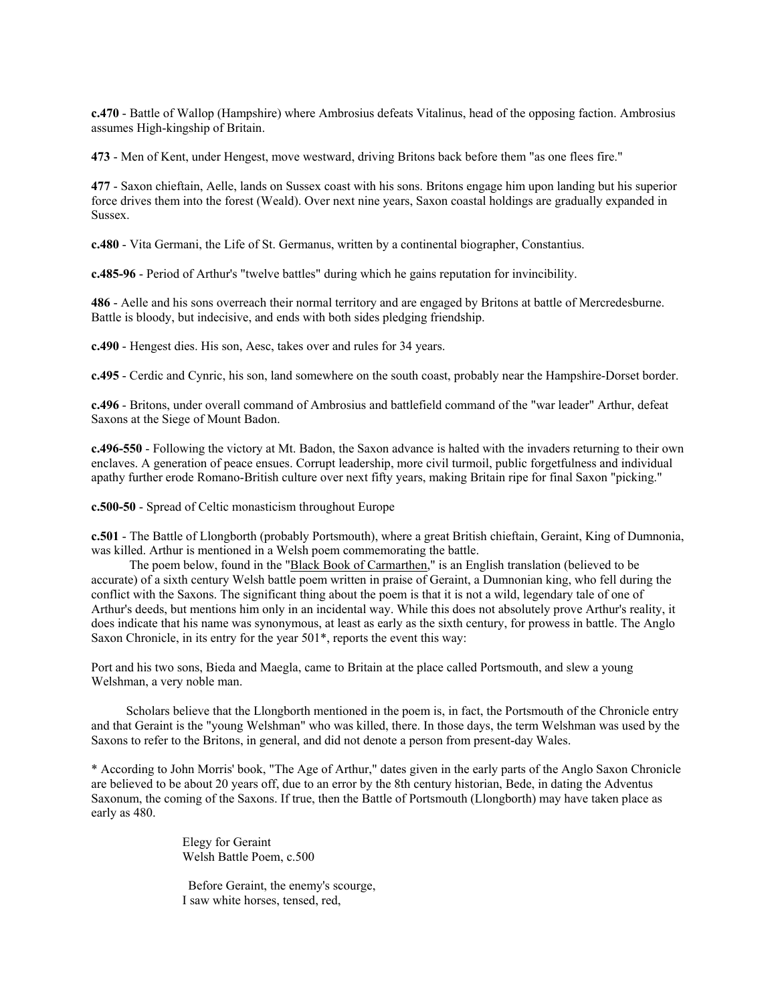**c.470** - Battle of Wallop (Hampshire) where Ambrosius defeats Vitalinus, head of the opposing faction. Ambrosius assumes High-kingship of Britain.

**473** - Men of Kent, under Hengest, move westward, driving Britons back before them "as one flees fire."

**477** - Saxon chieftain, Aelle, lands on Sussex coast with his sons. Britons engage him upon landing but his superior force drives them into the forest (Weald). Over next nine years, Saxon coastal holdings are gradually expanded in Sussex.

**c.480** - Vita Germani, the Life of St. Germanus, written by a continental biographer, Constantius.

**c.485-96** - Period of Arthur's "twelve battles" during which he gains reputation for invincibility.

**486** - Aelle and his sons overreach their normal territory and are engaged by Britons at battle of Mercredesburne. Battle is bloody, but indecisive, and ends with both sides pledging friendship.

**c.490** - Hengest dies. His son, Aesc, takes over and rules for 34 years.

**c.495** - Cerdic and Cynric, his son, land somewhere on the south coast, probably near the Hampshire-Dorset border.

**c.496** - Britons, under overall command of Ambrosius and battlefield command of the "war leader" Arthur, defeat Saxons at the Siege of Mount Badon.

**c.496-550** - Following the victory at Mt. Badon, the Saxon advance is halted with the invaders returning to their own enclaves. A generation of peace ensues. Corrupt leadership, more civil turmoil, public forgetfulness and individual apathy further erode Romano-British culture over next fifty years, making Britain ripe for final Saxon "picking."

**c.500-50** - Spread of Celtic monasticism throughout Europe

**c.501** - The Battle of Llongborth (probably Portsmouth), where a great British chieftain, Geraint, King of Dumnonia, was killed. Arthur is mentioned in a Welsh poem commemorating the battle.

 The poem below, found in the "Black Book of Carmarthen," is an English translation (believed to be accurate) of a sixth century Welsh battle poem written in praise of Geraint, a Dumnonian king, who fell during the conflict with the Saxons. The significant thing about the poem is that it is not a wild, legendary tale of one of Arthur's deeds, but mentions him only in an incidental way. While this does not absolutely prove Arthur's reality, it does indicate that his name was synonymous, at least as early as the sixth century, for prowess in battle. The Anglo Saxon Chronicle, in its entry for the year 501\*, reports the event this way:

Port and his two sons, Bieda and Maegla, came to Britain at the place called Portsmouth, and slew a young Welshman, a very noble man.

 Scholars believe that the Llongborth mentioned in the poem is, in fact, the Portsmouth of the Chronicle entry and that Geraint is the "young Welshman" who was killed, there. In those days, the term Welshman was used by the Saxons to refer to the Britons, in general, and did not denote a person from present-day Wales.

\* According to John Morris' book, "The Age of Arthur," dates given in the early parts of the Anglo Saxon Chronicle are believed to be about 20 years off, due to an error by the 8th century historian, Bede, in dating the Adventus Saxonum, the coming of the Saxons. If true, then the Battle of Portsmouth (Llongborth) may have taken place as early as 480.

> Elegy for Geraint Welsh Battle Poem, c.500

Before Geraint, the enemy's scourge, I saw white horses, tensed, red,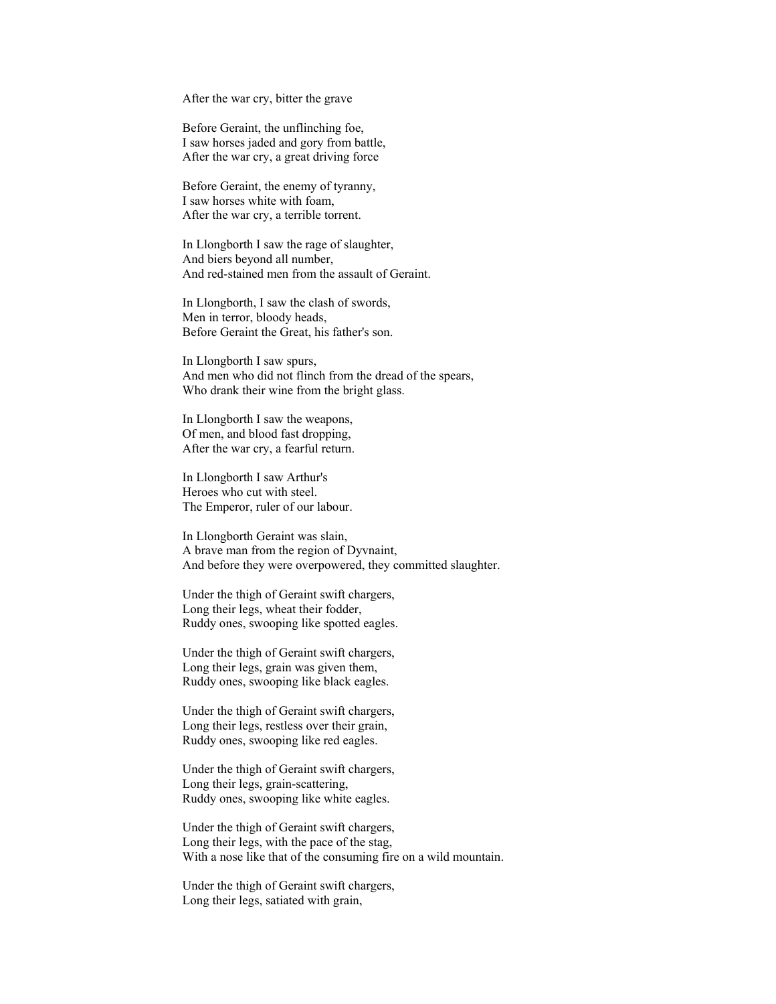After the war cry, bitter the grave

Before Geraint, the unflinching foe, I saw horses jaded and gory from battle, After the war cry, a great driving force

Before Geraint, the enemy of tyranny, I saw horses white with foam, After the war cry, a terrible torrent.

In Llongborth I saw the rage of slaughter, And biers beyond all number, And red-stained men from the assault of Geraint.

In Llongborth, I saw the clash of swords, Men in terror, bloody heads, Before Geraint the Great, his father's son.

In Llongborth I saw spurs, And men who did not flinch from the dread of the spears, Who drank their wine from the bright glass.

In Llongborth I saw the weapons, Of men, and blood fast dropping, After the war cry, a fearful return.

In Llongborth I saw Arthur's Heroes who cut with steel. The Emperor, ruler of our labour.

In Llongborth Geraint was slain, A brave man from the region of Dyvnaint, And before they were overpowered, they committed slaughter.

Under the thigh of Geraint swift chargers, Long their legs, wheat their fodder, Ruddy ones, swooping like spotted eagles.

Under the thigh of Geraint swift chargers, Long their legs, grain was given them, Ruddy ones, swooping like black eagles.

Under the thigh of Geraint swift chargers, Long their legs, restless over their grain, Ruddy ones, swooping like red eagles.

Under the thigh of Geraint swift chargers, Long their legs, grain-scattering, Ruddy ones, swooping like white eagles.

Under the thigh of Geraint swift chargers, Long their legs, with the pace of the stag, With a nose like that of the consuming fire on a wild mountain.

Under the thigh of Geraint swift chargers, Long their legs, satiated with grain,